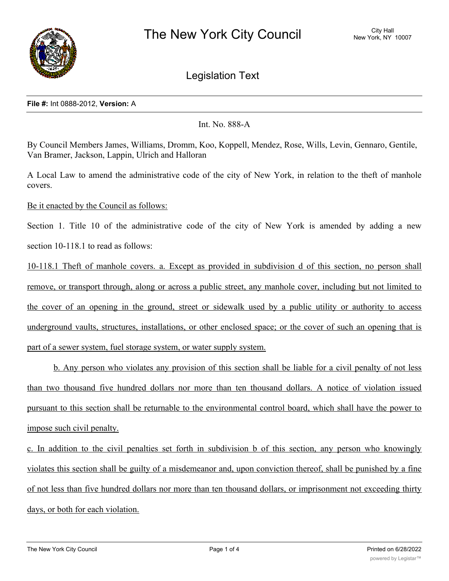

Legislation Text

## **File #:** Int 0888-2012, **Version:** A

Int. No. 888-A

By Council Members James, Williams, Dromm, Koo, Koppell, Mendez, Rose, Wills, Levin, Gennaro, Gentile, Van Bramer, Jackson, Lappin, Ulrich and Halloran

A Local Law to amend the administrative code of the city of New York, in relation to the theft of manhole covers.

Be it enacted by the Council as follows:

Section 1. Title 10 of the administrative code of the city of New York is amended by adding a new section 10-118.1 to read as follows:

10-118.1 Theft of manhole covers. a. Except as provided in subdivision d of this section, no person shall remove, or transport through, along or across a public street, any manhole cover, including but not limited to the cover of an opening in the ground, street or sidewalk used by a public utility or authority to access underground vaults, structures, installations, or other enclosed space; or the cover of such an opening that is part of a sewer system, fuel storage system, or water supply system.

b. Any person who violates any provision of this section shall be liable for a civil penalty of not less than two thousand five hundred dollars nor more than ten thousand dollars. A notice of violation issued pursuant to this section shall be returnable to the environmental control board, which shall have the power to impose such civil penalty.

c. In addition to the civil penalties set forth in subdivision b of this section, any person who knowingly violates this section shall be guilty of a misdemeanor and, upon conviction thereof, shall be punished by a fine of not less than five hundred dollars nor more than ten thousand dollars, or imprisonment not exceeding thirty days, or both for each violation.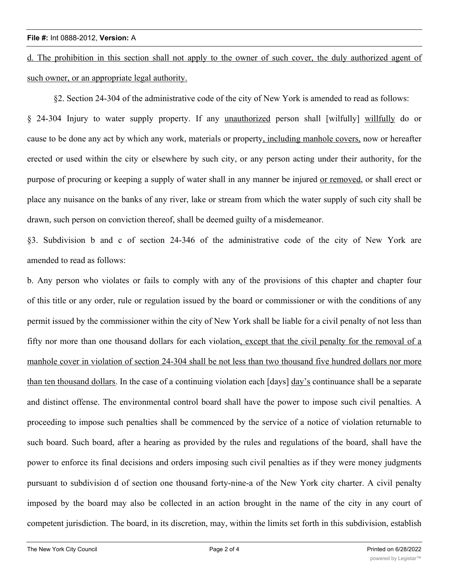d. The prohibition in this section shall not apply to the owner of such cover, the duly authorized agent of such owner, or an appropriate legal authority.

§2. Section 24-304 of the administrative code of the city of New York is amended to read as follows:

§ 24-304 Injury to water supply property. If any unauthorized person shall [wilfully] willfully do or cause to be done any act by which any work, materials or property, including manhole covers, now or hereafter erected or used within the city or elsewhere by such city, or any person acting under their authority, for the purpose of procuring or keeping a supply of water shall in any manner be injured or removed, or shall erect or place any nuisance on the banks of any river, lake or stream from which the water supply of such city shall be drawn, such person on conviction thereof, shall be deemed guilty of a misdemeanor.

§3. Subdivision b and c of section 24-346 of the administrative code of the city of New York are amended to read as follows:

b. Any person who violates or fails to comply with any of the provisions of this chapter and chapter four of this title or any order, rule or regulation issued by the board or commissioner or with the conditions of any permit issued by the commissioner within the city of New York shall be liable for a civil penalty of not less than fifty nor more than one thousand dollars for each violation, except that the civil penalty for the removal of a manhole cover in violation of section 24-304 shall be not less than two thousand five hundred dollars nor more than ten thousand dollars. In the case of a continuing violation each [days] day's continuance shall be a separate and distinct offense. The environmental control board shall have the power to impose such civil penalties. A proceeding to impose such penalties shall be commenced by the service of a notice of violation returnable to such board. Such board, after a hearing as provided by the rules and regulations of the board, shall have the power to enforce its final decisions and orders imposing such civil penalties as if they were money judgments pursuant to subdivision d of section one thousand forty-nine-a of the New York city charter. A civil penalty imposed by the board may also be collected in an action brought in the name of the city in any court of competent jurisdiction. The board, in its discretion, may, within the limits set forth in this subdivision, establish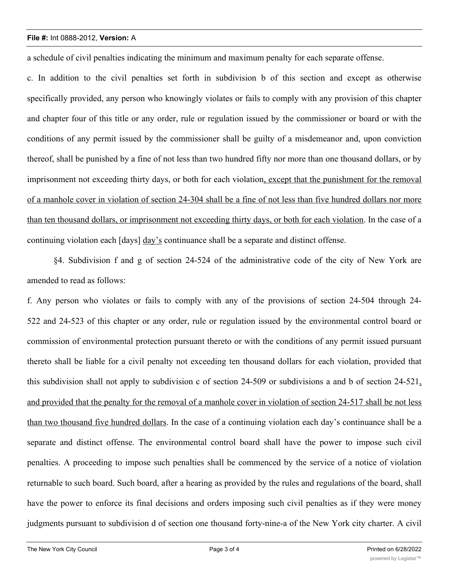## **File #:** Int 0888-2012, **Version:** A

a schedule of civil penalties indicating the minimum and maximum penalty for each separate offense.

c. In addition to the civil penalties set forth in subdivision b of this section and except as otherwise specifically provided, any person who knowingly violates or fails to comply with any provision of this chapter and chapter four of this title or any order, rule or regulation issued by the commissioner or board or with the conditions of any permit issued by the commissioner shall be guilty of a misdemeanor and, upon conviction thereof, shall be punished by a fine of not less than two hundred fifty nor more than one thousand dollars, or by imprisonment not exceeding thirty days, or both for each violation, except that the punishment for the removal of a manhole cover in violation of section 24-304 shall be a fine of not less than five hundred dollars nor more than ten thousand dollars, or imprisonment not exceeding thirty days, or both for each violation. In the case of a continuing violation each [days] day's continuance shall be a separate and distinct offense.

§4. Subdivision f and g of section 24-524 of the administrative code of the city of New York are amended to read as follows:

f. Any person who violates or fails to comply with any of the provisions of section 24-504 through 24- 522 and 24-523 of this chapter or any order, rule or regulation issued by the environmental control board or commission of environmental protection pursuant thereto or with the conditions of any permit issued pursuant thereto shall be liable for a civil penalty not exceeding ten thousand dollars for each violation, provided that this subdivision shall not apply to subdivision c of section 24-509 or subdivisions a and b of section 24-521, and provided that the penalty for the removal of a manhole cover in violation of section 24-517 shall be not less than two thousand five hundred dollars. In the case of a continuing violation each day's continuance shall be a separate and distinct offense. The environmental control board shall have the power to impose such civil penalties. A proceeding to impose such penalties shall be commenced by the service of a notice of violation returnable to such board. Such board, after a hearing as provided by the rules and regulations of the board, shall have the power to enforce its final decisions and orders imposing such civil penalties as if they were money judgments pursuant to subdivision d of section one thousand forty-nine-a of the New York city charter. A civil